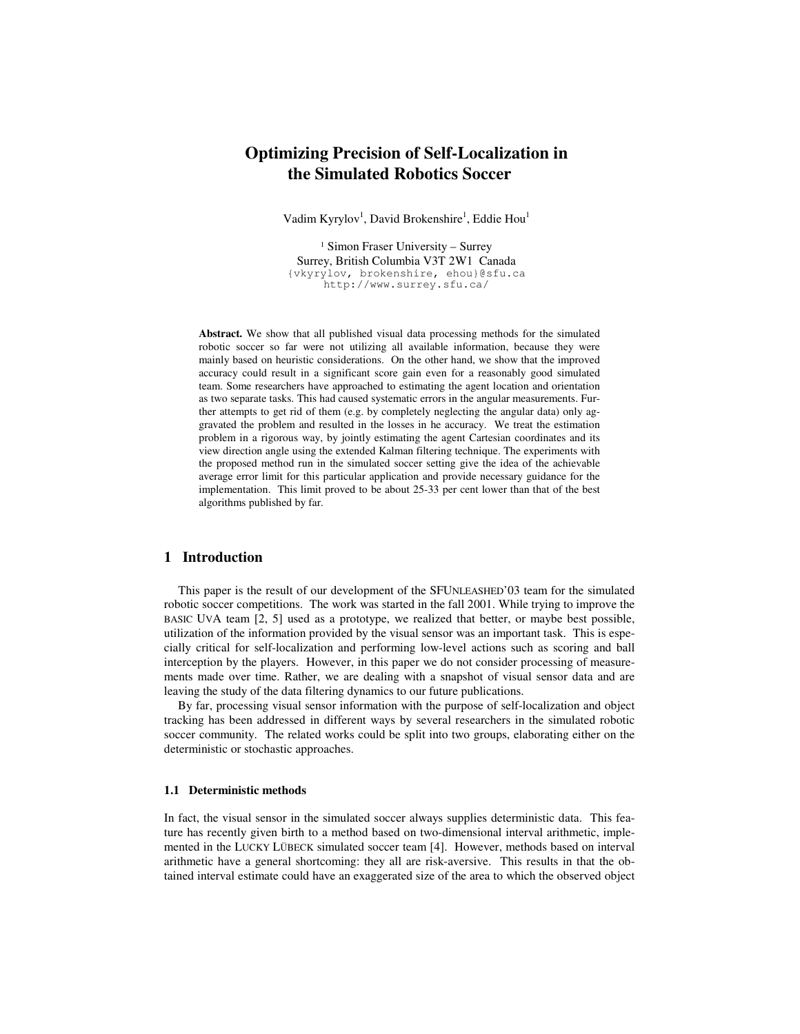# **Optimizing Precision of Self-Localization in the Simulated Robotics Soccer**

Vadim Kyrylov<sup>1</sup>, David Brokenshire<sup>1</sup>, Eddie Hou<sup>1</sup>

<sup>1</sup> Simon Fraser University – Surrey Surrey, British Columbia V3T 2W1 Canada {vkyrylov, brokenshire, ehou}@sfu.ca http://www.surrey.sfu.ca/

**Abstract.** We show that all published visual data processing methods for the simulated robotic soccer so far were not utilizing all available information, because they were mainly based on heuristic considerations. On the other hand, we show that the improved accuracy could result in a significant score gain even for a reasonably good simulated team. Some researchers have approached to estimating the agent location and orientation as two separate tasks. This had caused systematic errors in the angular measurements. Further attempts to get rid of them (e.g. by completely neglecting the angular data) only aggravated the problem and resulted in the losses in he accuracy. We treat the estimation problem in a rigorous way, by jointly estimating the agent Cartesian coordinates and its view direction angle using the extended Kalman filtering technique. The experiments with the proposed method run in the simulated soccer setting give the idea of the achievable average error limit for this particular application and provide necessary guidance for the implementation. This limit proved to be about 25-33 per cent lower than that of the best algorithms published by far.

# **1 Introduction**

This paper is the result of our development of the SFUNLEASHED'03 team for the simulated robotic soccer competitions. The work was started in the fall 2001. While trying to improve the BASIC UVA team [2, 5] used as a prototype, we realized that better, or maybe best possible, utilization of the information provided by the visual sensor was an important task. This is especially critical for self-localization and performing low-level actions such as scoring and ball interception by the players. However, in this paper we do not consider processing of measurements made over time. Rather, we are dealing with a snapshot of visual sensor data and are leaving the study of the data filtering dynamics to our future publications.

By far, processing visual sensor information with the purpose of self-localization and object tracking has been addressed in different ways by several researchers in the simulated robotic soccer community. The related works could be split into two groups, elaborating either on the deterministic or stochastic approaches.

#### **1.1 Deterministic methods**

In fact, the visual sensor in the simulated soccer always supplies deterministic data. This feature has recently given birth to a method based on two-dimensional interval arithmetic, implemented in the LUCKY LÜBECK simulated soccer team [4]. However, methods based on interval arithmetic have a general shortcoming: they all are risk-aversive. This results in that the obtained interval estimate could have an exaggerated size of the area to which the observed object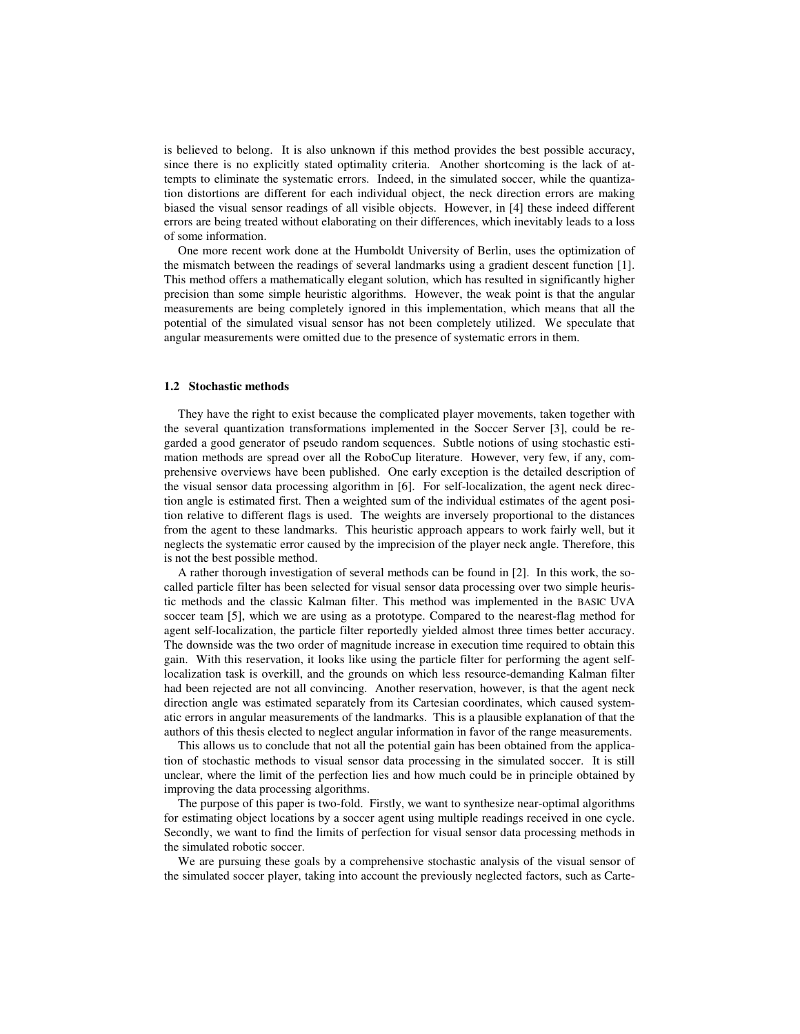is believed to belong. It is also unknown if this method provides the best possible accuracy, since there is no explicitly stated optimality criteria. Another shortcoming is the lack of attempts to eliminate the systematic errors. Indeed, in the simulated soccer, while the quantization distortions are different for each individual object, the neck direction errors are making biased the visual sensor readings of all visible objects. However, in [4] these indeed different errors are being treated without elaborating on their differences, which inevitably leads to a loss of some information.

One more recent work done at the Humboldt University of Berlin, uses the optimization of the mismatch between the readings of several landmarks using a gradient descent function [1]. This method offers a mathematically elegant solution, which has resulted in significantly higher precision than some simple heuristic algorithms. However, the weak point is that the angular measurements are being completely ignored in this implementation, which means that all the potential of the simulated visual sensor has not been completely utilized. We speculate that angular measurements were omitted due to the presence of systematic errors in them.

#### **1.2 Stochastic methods**

They have the right to exist because the complicated player movements, taken together with the several quantization transformations implemented in the Soccer Server [3], could be regarded a good generator of pseudo random sequences. Subtle notions of using stochastic estimation methods are spread over all the RoboCup literature. However, very few, if any, comprehensive overviews have been published. One early exception is the detailed description of the visual sensor data processing algorithm in [6]. For self-localization, the agent neck direction angle is estimated first. Then a weighted sum of the individual estimates of the agent position relative to different flags is used. The weights are inversely proportional to the distances from the agent to these landmarks. This heuristic approach appears to work fairly well, but it neglects the systematic error caused by the imprecision of the player neck angle. Therefore, this is not the best possible method.

A rather thorough investigation of several methods can be found in [2]. In this work, the socalled particle filter has been selected for visual sensor data processing over two simple heuristic methods and the classic Kalman filter. This method was implemented in the BASIC UVA soccer team [5], which we are using as a prototype. Compared to the nearest-flag method for agent self-localization, the particle filter reportedly yielded almost three times better accuracy. The downside was the two order of magnitude increase in execution time required to obtain this gain. With this reservation, it looks like using the particle filter for performing the agent selflocalization task is overkill, and the grounds on which less resource-demanding Kalman filter had been rejected are not all convincing. Another reservation, however, is that the agent neck direction angle was estimated separately from its Cartesian coordinates, which caused systematic errors in angular measurements of the landmarks. This is a plausible explanation of that the authors of this thesis elected to neglect angular information in favor of the range measurements.

This allows us to conclude that not all the potential gain has been obtained from the application of stochastic methods to visual sensor data processing in the simulated soccer. It is still unclear, where the limit of the perfection lies and how much could be in principle obtained by improving the data processing algorithms.

The purpose of this paper is two-fold. Firstly, we want to synthesize near-optimal algorithms for estimating object locations by a soccer agent using multiple readings received in one cycle. Secondly, we want to find the limits of perfection for visual sensor data processing methods in the simulated robotic soccer.

We are pursuing these goals by a comprehensive stochastic analysis of the visual sensor of the simulated soccer player, taking into account the previously neglected factors, such as Carte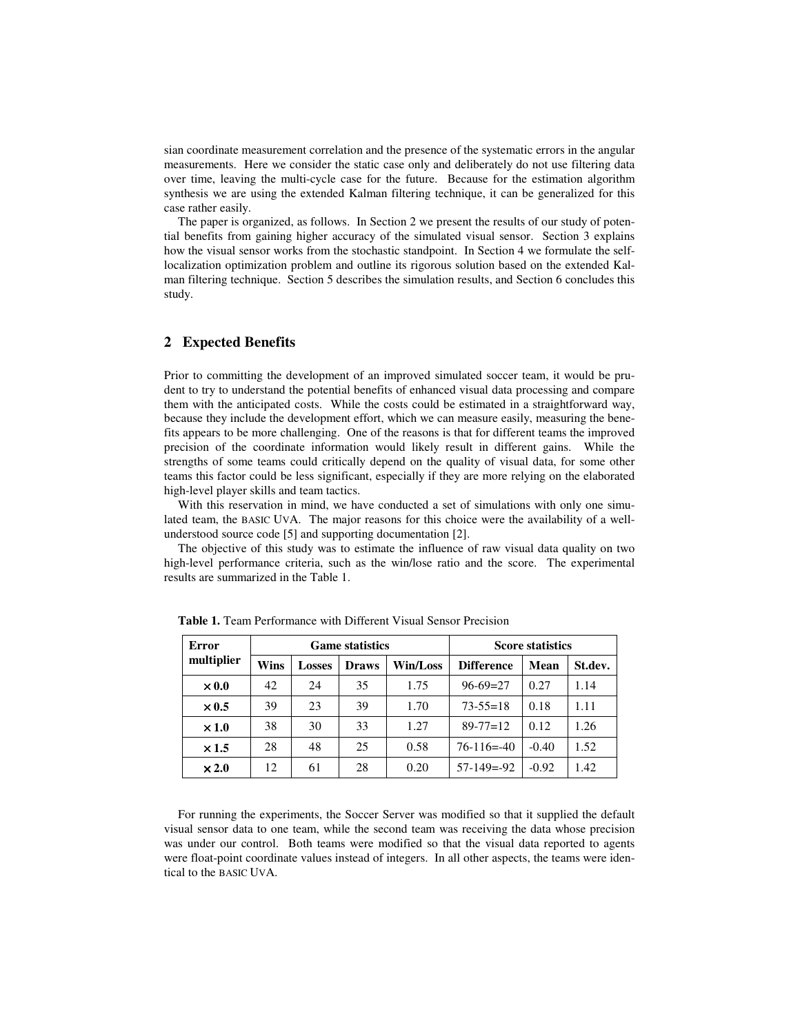sian coordinate measurement correlation and the presence of the systematic errors in the angular measurements. Here we consider the static case only and deliberately do not use filtering data over time, leaving the multi-cycle case for the future. Because for the estimation algorithm synthesis we are using the extended Kalman filtering technique, it can be generalized for this case rather easily.

The paper is organized, as follows. In Section 2 we present the results of our study of potential benefits from gaining higher accuracy of the simulated visual sensor. Section 3 explains how the visual sensor works from the stochastic standpoint. In Section 4 we formulate the selflocalization optimization problem and outline its rigorous solution based on the extended Kalman filtering technique. Section 5 describes the simulation results, and Section 6 concludes this study.

# **2 Expected Benefits**

Prior to committing the development of an improved simulated soccer team, it would be prudent to try to understand the potential benefits of enhanced visual data processing and compare them with the anticipated costs. While the costs could be estimated in a straightforward way, because they include the development effort, which we can measure easily, measuring the benefits appears to be more challenging. One of the reasons is that for different teams the improved precision of the coordinate information would likely result in different gains. While the strengths of some teams could critically depend on the quality of visual data, for some other teams this factor could be less significant, especially if they are more relying on the elaborated high-level player skills and team tactics.

With this reservation in mind, we have conducted a set of simulations with only one simulated team, the BASIC UVA. The major reasons for this choice were the availability of a wellunderstood source code [5] and supporting documentation [2].

The objective of this study was to estimate the influence of raw visual data quality on two high-level performance criteria, such as the win/lose ratio and the score. The experimental results are summarized in the Table 1.

| Error<br>multiplier | <b>Game statistics</b> |        |              |          | <b>Score statistics</b> |         |         |
|---------------------|------------------------|--------|--------------|----------|-------------------------|---------|---------|
|                     | Wins                   | Losses | <b>Draws</b> | Win/Loss | <b>Difference</b>       | Mean    | St.dev. |
| $\times 0.0$        | 42                     | 24     | 35           | 1.75     | $96-69=27$              | 0.27    | 1.14    |
| $\times 0.5$        | 39                     | 23     | 39           | 1.70     | $73 - 55 = 18$          | 0.18    | 1.11    |
| $\times 1.0$        | 38                     | 30     | 33           | 1.27     | $89 - 77 = 12$          | 0.12    | 1.26    |
| $\times 1.5$        | 28                     | 48     | 25           | 0.58     | $76-116= -40$           | $-0.40$ | 1.52    |
| $\times 2.0$        | 12                     | 61     | 28           | 0.20     | $57-149= -92$           | $-0.92$ | 1.42    |

**Table 1.** Team Performance with Different Visual Sensor Precision

For running the experiments, the Soccer Server was modified so that it supplied the default visual sensor data to one team, while the second team was receiving the data whose precision was under our control. Both teams were modified so that the visual data reported to agents were float-point coordinate values instead of integers. In all other aspects, the teams were identical to the BASIC UVA.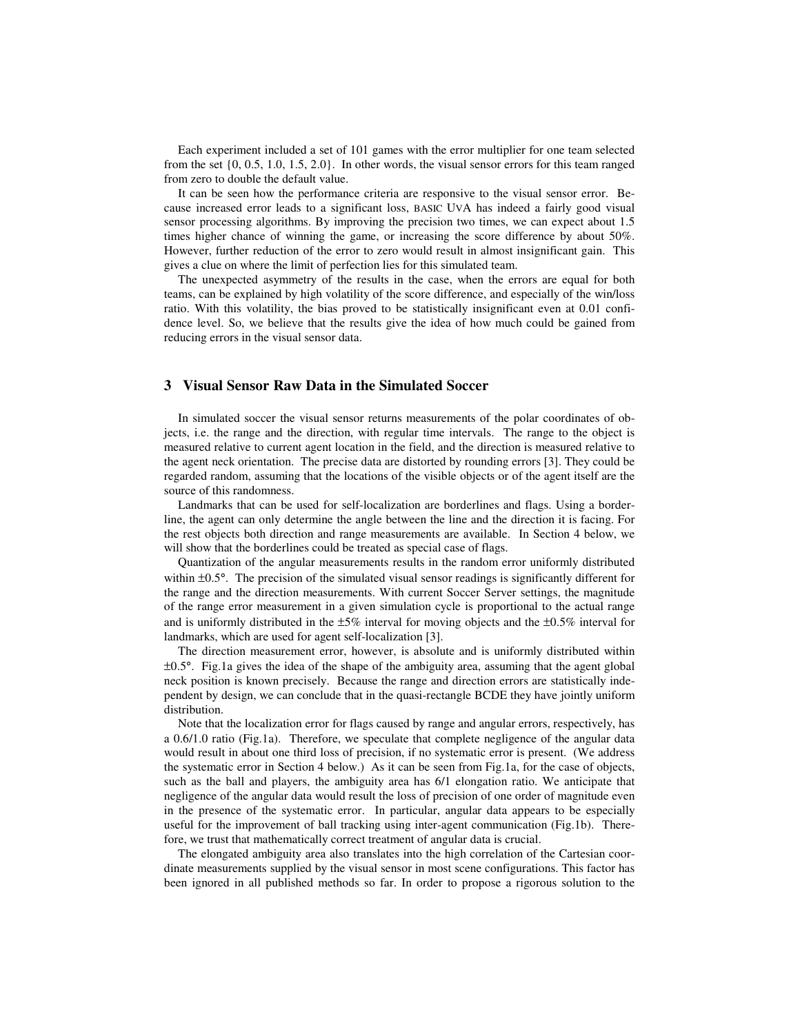Each experiment included a set of 101 games with the error multiplier for one team selected from the set {0, 0.5, 1.0, 1.5, 2.0}. In other words, the visual sensor errors for this team ranged from zero to double the default value.

It can be seen how the performance criteria are responsive to the visual sensor error. Because increased error leads to a significant loss, BASIC UVA has indeed a fairly good visual sensor processing algorithms. By improving the precision two times, we can expect about 1.5 times higher chance of winning the game, or increasing the score difference by about 50%. However, further reduction of the error to zero would result in almost insignificant gain. This gives a clue on where the limit of perfection lies for this simulated team.

The unexpected asymmetry of the results in the case, when the errors are equal for both teams, can be explained by high volatility of the score difference, and especially of the win/loss ratio. With this volatility, the bias proved to be statistically insignificant even at 0.01 confidence level. So, we believe that the results give the idea of how much could be gained from reducing errors in the visual sensor data.

#### **3 Visual Sensor Raw Data in the Simulated Soccer**

In simulated soccer the visual sensor returns measurements of the polar coordinates of objects, i.e. the range and the direction, with regular time intervals. The range to the object is measured relative to current agent location in the field, and the direction is measured relative to the agent neck orientation. The precise data are distorted by rounding errors [3]. They could be regarded random, assuming that the locations of the visible objects or of the agent itself are the source of this randomness.

Landmarks that can be used for self-localization are borderlines and flags. Using a borderline, the agent can only determine the angle between the line and the direction it is facing. For the rest objects both direction and range measurements are available. In Section 4 below, we will show that the borderlines could be treated as special case of flags.

Quantization of the angular measurements results in the random error uniformly distributed within  $\pm 0.5^\circ$ . The precision of the simulated visual sensor readings is significantly different for the range and the direction measurements. With current Soccer Server settings, the magnitude of the range error measurement in a given simulation cycle is proportional to the actual range and is uniformly distributed in the  $\pm 5\%$  interval for moving objects and the  $\pm 0.5\%$  interval for landmarks, which are used for agent self-localization [3].

The direction measurement error, however, is absolute and is uniformly distributed within ±0.5°. Fig.1a gives the idea of the shape of the ambiguity area, assuming that the agent global neck position is known precisely. Because the range and direction errors are statistically independent by design, we can conclude that in the quasi-rectangle BCDE they have jointly uniform distribution.

Note that the localization error for flags caused by range and angular errors, respectively, has a 0.6/1.0 ratio (Fig.1a). Therefore, we speculate that complete negligence of the angular data would result in about one third loss of precision, if no systematic error is present. (We address the systematic error in Section 4 below.) As it can be seen from Fig.1a, for the case of objects, such as the ball and players, the ambiguity area has 6/1 elongation ratio. We anticipate that negligence of the angular data would result the loss of precision of one order of magnitude even in the presence of the systematic error. In particular, angular data appears to be especially useful for the improvement of ball tracking using inter-agent communication (Fig.1b). Therefore, we trust that mathematically correct treatment of angular data is crucial.

The elongated ambiguity area also translates into the high correlation of the Cartesian coordinate measurements supplied by the visual sensor in most scene configurations. This factor has been ignored in all published methods so far. In order to propose a rigorous solution to the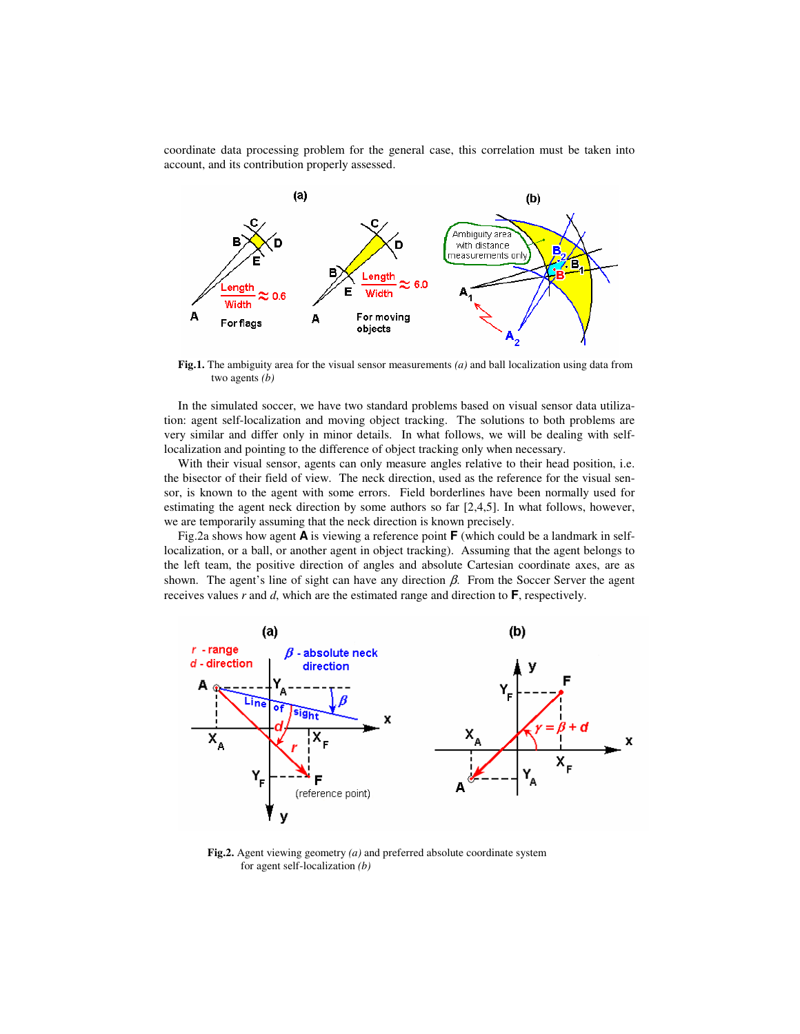coordinate data processing problem for the general case, this correlation must be taken into account, and its contribution properly assessed.



**Fig.1.** The ambiguity area for the visual sensor measurements *(a)* and ball localization using data from two agents *(b)*

In the simulated soccer, we have two standard problems based on visual sensor data utilization: agent self-localization and moving object tracking. The solutions to both problems are very similar and differ only in minor details. In what follows, we will be dealing with selflocalization and pointing to the difference of object tracking only when necessary.

With their visual sensor, agents can only measure angles relative to their head position, i.e. the bisector of their field of view. The neck direction, used as the reference for the visual sensor, is known to the agent with some errors. Field borderlines have been normally used for estimating the agent neck direction by some authors so far [2,4,5]. In what follows, however, we are temporarily assuming that the neck direction is known precisely.

Fig.2a shows how agent **A** is viewing a reference point **F** (which could be a landmark in selflocalization, or a ball, or another agent in object tracking). Assuming that the agent belongs to the left team, the positive direction of angles and absolute Cartesian coordinate axes, are as shown. The agent's line of sight can have any direction  $\beta$ . From the Soccer Server the agent receives values *r* and *d*, which are the estimated range and direction to **F**, respectively.



**Fig.2.** Agent viewing geometry *(a)* and preferred absolute coordinate system for agent self-localization *(b)*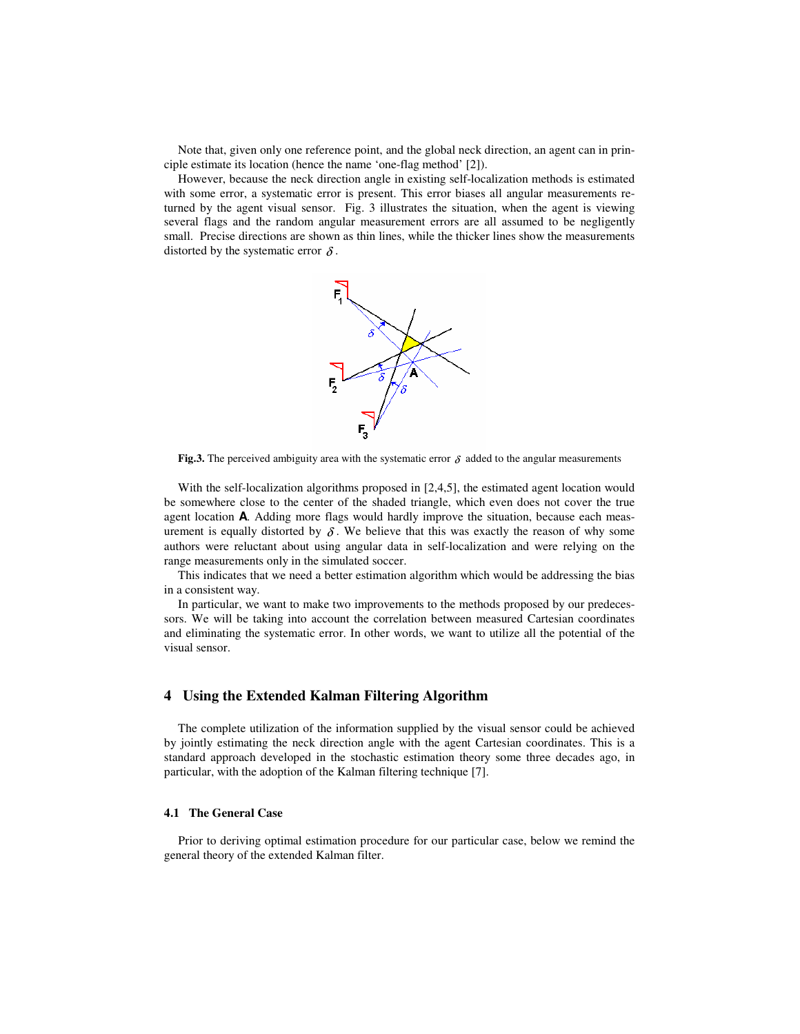Note that, given only one reference point, and the global neck direction, an agent can in principle estimate its location (hence the name 'one-flag method' [2]).

However, because the neck direction angle in existing self-localization methods is estimated with some error, a systematic error is present. This error biases all angular measurements returned by the agent visual sensor. Fig. 3 illustrates the situation, when the agent is viewing several flags and the random angular measurement errors are all assumed to be negligently small. Precise directions are shown as thin lines, while the thicker lines show the measurements distorted by the systematic error  $\delta$ .



**Fig.3.** The perceived ambiguity area with the systematic error  $\delta$  added to the angular measurements

With the self-localization algorithms proposed in [2,4,5], the estimated agent location would be somewhere close to the center of the shaded triangle, which even does not cover the true agent location **A**. Adding more flags would hardly improve the situation, because each measurement is equally distorted by  $\delta$ . We believe that this was exactly the reason of why some authors were reluctant about using angular data in self-localization and were relying on the range measurements only in the simulated soccer.

This indicates that we need a better estimation algorithm which would be addressing the bias in a consistent way.

In particular, we want to make two improvements to the methods proposed by our predecessors. We will be taking into account the correlation between measured Cartesian coordinates and eliminating the systematic error. In other words, we want to utilize all the potential of the visual sensor.

## **4 Using the Extended Kalman Filtering Algorithm**

The complete utilization of the information supplied by the visual sensor could be achieved by jointly estimating the neck direction angle with the agent Cartesian coordinates. This is a standard approach developed in the stochastic estimation theory some three decades ago, in particular, with the adoption of the Kalman filtering technique [7].

#### **4.1 The General Case**

Prior to deriving optimal estimation procedure for our particular case, below we remind the general theory of the extended Kalman filter.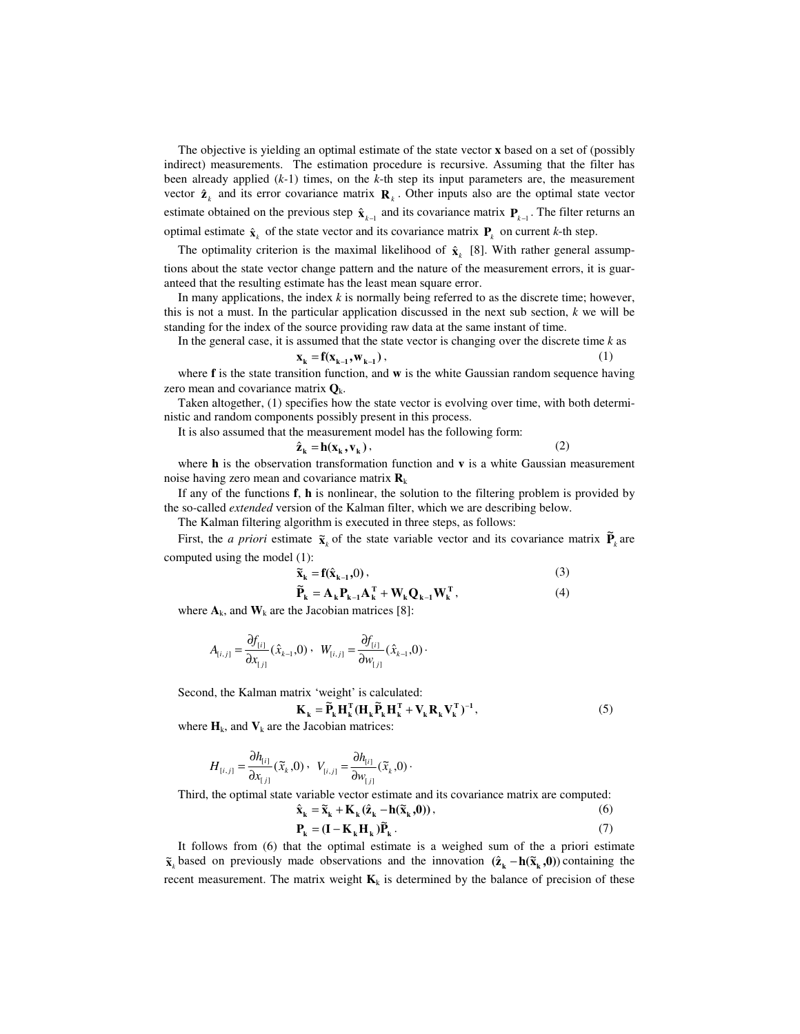The objective is yielding an optimal estimate of the state vector **x** based on a set of (possibly indirect) measurements. The estimation procedure is recursive. Assuming that the filter has been already applied (*k-*1) times, on the *k*-th step its input parameters are, the measurement vector  $\hat{\mathbf{z}}_k$  and its error covariance matrix  $\mathbf{R}_k$ . Other inputs also are the optimal state vector estimate obtained on the previous step  $\hat{\mathbf{x}}_{k-1}$  and its covariance matrix  $\mathbf{P}_{k-1}$ . The filter returns an optimal estimate  $\hat{\mathbf{x}}_k$  of the state vector and its covariance matrix  $\mathbf{P}_k$  on current *k*-th step.

The optimality criterion is the maximal likelihood of  $\hat{\mathbf{x}}_k$  [8]. With rather general assumptions about the state vector change pattern and the nature of the measurement errors, it is guaranteed that the resulting estimate has the least mean square error.

In many applications, the index *k* is normally being referred to as the discrete time; however, this is not a must. In the particular application discussed in the next sub section, *k* we will be standing for the index of the source providing raw data at the same instant of time.

In the general case, it is assumed that the state vector is changing over the discrete time *k* as 
$$
\mathbf{x}_{k} = \mathbf{f}(\mathbf{x}_{k-1}, \mathbf{w}_{k-1}),
$$
 (1)

where **f** is the state transition function, and **w** is the white Gaussian random sequence having zero mean and covariance matrix  $\mathbf{Q}_k$ .

Taken altogether, (1) specifies how the state vector is evolving over time, with both deterministic and random components possibly present in this process.

It is also assumed that the measurement model has the following form:

$$
\hat{\mathbf{z}}_{k} = \mathbf{h}(\mathbf{x}_{k}, \mathbf{v}_{k}),\tag{2}
$$

where **h** is the observation transformation function and **v** is a white Gaussian measurement noise having zero mean and covariance matrix  $\mathbf{R}_k$ 

If any of the functions **f**, **h** is nonlinear, the solution to the filtering problem is provided by the so-called *extended* version of the Kalman filter, which we are describing below.

The Kalman filtering algorithm is executed in three steps, as follows:

First, the *a priori* estimate  $\tilde{\mathbf{x}}_k$  of the state variable vector and its covariance matrix  $\tilde{\mathbf{P}}_k$  are computed using the model (1):

$$
\widetilde{\mathbf{x}}_{k} = \mathbf{f}(\hat{\mathbf{x}}_{k-1}, 0),\tag{3}
$$

$$
\widetilde{\mathbf{P}}_{k} = \mathbf{A}_{k} \mathbf{P}_{k-1} \mathbf{A}_{k}^{T} + \mathbf{W}_{k} \mathbf{Q}_{k-1} \mathbf{W}_{k}^{T},
$$
\n(4)

where  $A_k$ , and  $W_k$  are the Jacobian matrices [8]:

$$
A_{[i,j]} = \frac{\partial f_{[i]}}{\partial x_{[j]}} (\hat{x}_{k-1}, 0), \ \ W_{[i,j]} = \frac{\partial f_{[i]}}{\partial w_{[j]}} (\hat{x}_{k-1}, 0).
$$

Second, the Kalman matrix 'weight' is calculated:

$$
\mathbf{K}_{k} = \widetilde{\mathbf{P}}_{k} \mathbf{H}_{k}^{T} (\mathbf{H}_{k} \widetilde{\mathbf{P}}_{k} \mathbf{H}_{k}^{T} + \mathbf{V}_{k} \mathbf{R}_{k} \mathbf{V}_{k}^{T})^{-1},
$$
\n(5)

where  $\mathbf{H}_k$ , and  $\mathbf{V}_k$  are the Jacobian matrices:

$$
H_{[i,j]} = \frac{\partial h_{[i]}}{\partial x_{[j]}}(\widetilde{x}_k,0) \cdot V_{[i,j]} = \frac{\partial h_{[i]}}{\partial w_{[j]}}(\widetilde{x}_k,0) \cdot
$$

Third, the optimal state variable vector estimate and its covariance matrix are computed:

$$
\hat{\mathbf{x}}_{k} = \tilde{\mathbf{x}}_{k} + \mathbf{K}_{k} (\hat{\mathbf{z}}_{k} - \mathbf{h}(\tilde{\mathbf{x}}_{k}, \mathbf{0})),
$$
\n(6)

$$
\mathbf{P}_{k} = (\mathbf{I} - \mathbf{K}_{k} \mathbf{H}_{k}) \tilde{\mathbf{P}}_{k}.
$$
 (7)

It follows from (6) that the optimal estimate is a weighed sum of the a priori estimate  $\tilde{\mathbf{x}}_k$  based on previously made observations and the innovation  $(\hat{\mathbf{z}}_k - \mathbf{h}(\tilde{\mathbf{x}}_k, \mathbf{0}))$  containing the recent measurement. The matrix weight  $\mathbf{K}_k$  is determined by the balance of precision of these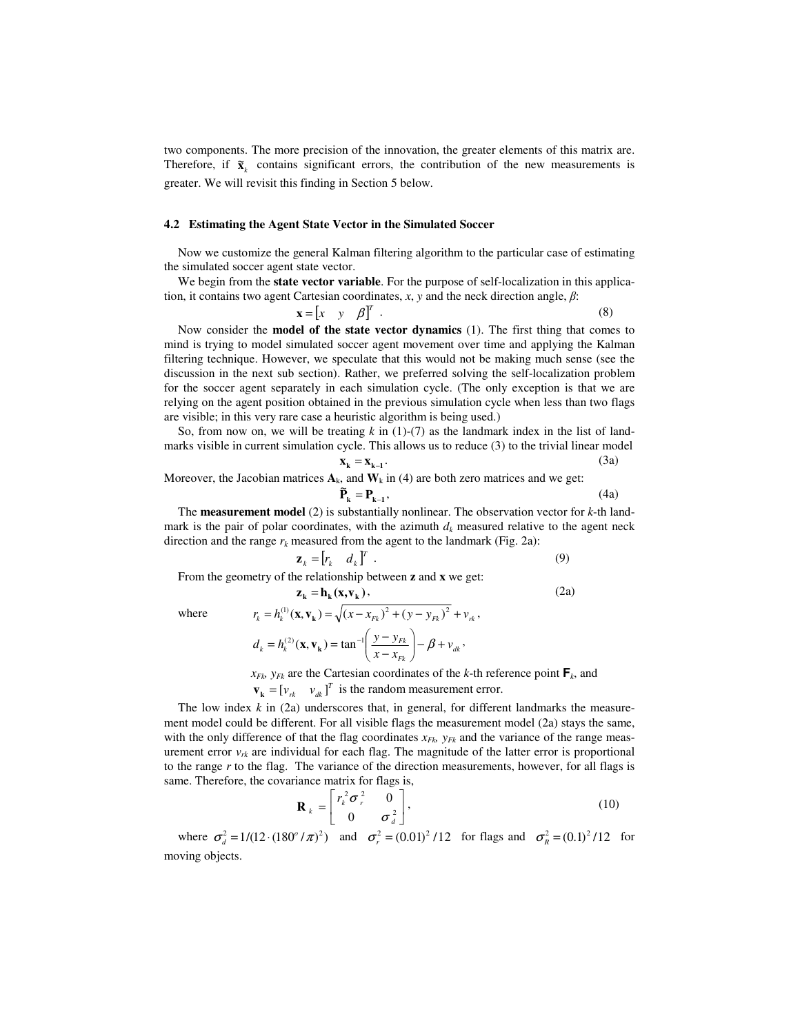two components. The more precision of the innovation, the greater elements of this matrix are. Therefore, if  $\tilde{\mathbf{x}}_k$  contains significant errors, the contribution of the new measurements is greater. We will revisit this finding in Section 5 below.

#### **4.2 Estimating the Agent State Vector in the Simulated Soccer**

Now we customize the general Kalman filtering algorithm to the particular case of estimating the simulated soccer agent state vector.

We begin from the **state vector variable**. For the purpose of self-localization in this application, it contains two agent Cartesian coordinates,  $x$ ,  $y$  and the neck direction angle,  $\beta$ :

$$
\mathbf{x} = \begin{bmatrix} x & y & \beta \end{bmatrix}^T \tag{8}
$$

Now consider the **model of the state vector dynamics** (1). The first thing that comes to mind is trying to model simulated soccer agent movement over time and applying the Kalman filtering technique. However, we speculate that this would not be making much sense (see the discussion in the next sub section). Rather, we preferred solving the self-localization problem for the soccer agent separately in each simulation cycle. (The only exception is that we are relying on the agent position obtained in the previous simulation cycle when less than two flags are visible; in this very rare case a heuristic algorithm is being used.)

So, from now on, we will be treating  $k$  in  $(1)-(7)$  as the landmark index in the list of landmarks visible in current simulation cycle. This allows us to reduce (3) to the trivial linear model

$$
\mathbf{x}_{k} = \mathbf{x}_{k-1}.\tag{3a}
$$

Moreover, the Jacobian matrices  $A_k$ , and  $W_k$  in (4) are both zero matrices and we get:

$$
\tilde{\mathbf{P}}_{k} = \mathbf{P}_{k-1},\tag{4a}
$$

 $(2a)$ 

The **measurement model** (2) is substantially nonlinear. The observation vector for *k*-th landmark is the pair of polar coordinates, with the azimuth  $d_k$  measured relative to the agent neck direction and the range  $r_k$  measured from the agent to the landmark (Fig. 2a):

$$
\mathbf{z}_k = [r_k \quad d_k]^T \tag{9}
$$

From the geometry of the relationship between **z** and **x** we get:  $\mathbf{z}_{k} = \mathbf{h}_{k}(\mathbf{x}, \mathbf{v}_{k})$ 

where

$$
r_{k} = h_{k}^{(1)}(\mathbf{x}, \mathbf{v}_{k}) = \sqrt{(x - x_{Fk})^{2} + (y - y_{Fk})^{2}} + v_{rk},
$$
  

$$
d_{k} = h_{k}^{(2)}(\mathbf{x}, \mathbf{v}_{k}) = \tan^{-1} \left(\frac{y - y_{Fk}}{x - x_{Fk}}\right) - \beta + v_{dk},
$$

 $x_{Fk}$ ,  $y_{Fk}$  are the Cartesian coordinates of the *k*-th reference point  $\mathbf{F}_k$ , and  $\mathbf{v}_{\mathbf{k}} = \begin{bmatrix} v_{rk} & v_{dk} \end{bmatrix}^T$  is the random measurement error.

The low index  $k$  in (2a) underscores that, in general, for different landmarks the measurement model could be different. For all visible flags the measurement model (2a) stays the same, with the only difference of that the flag coordinates  $x_{Fk}$ ,  $y_{Fk}$  and the variance of the range measurement error *vrk* are individual for each flag. The magnitude of the latter error is proportional to the range *r* to the flag. The variance of the direction measurements, however, for all flags is same. Therefore, the covariance matrix for flags is,

$$
\mathbf{R}_{k} = \begin{bmatrix} r_{k}^{2} \sigma_{r}^{2} & 0\\ 0 & \sigma_{d}^{2} \end{bmatrix},
$$
 (10)

where  $\sigma_d^2 = 1/(12 \cdot (180^\circ / \pi)^2)$  and  $\sigma_r^2 = (0.01)^2 / 12$  for flags and  $\sigma_R^2 = (0.1)^2 / 12$  for moving objects.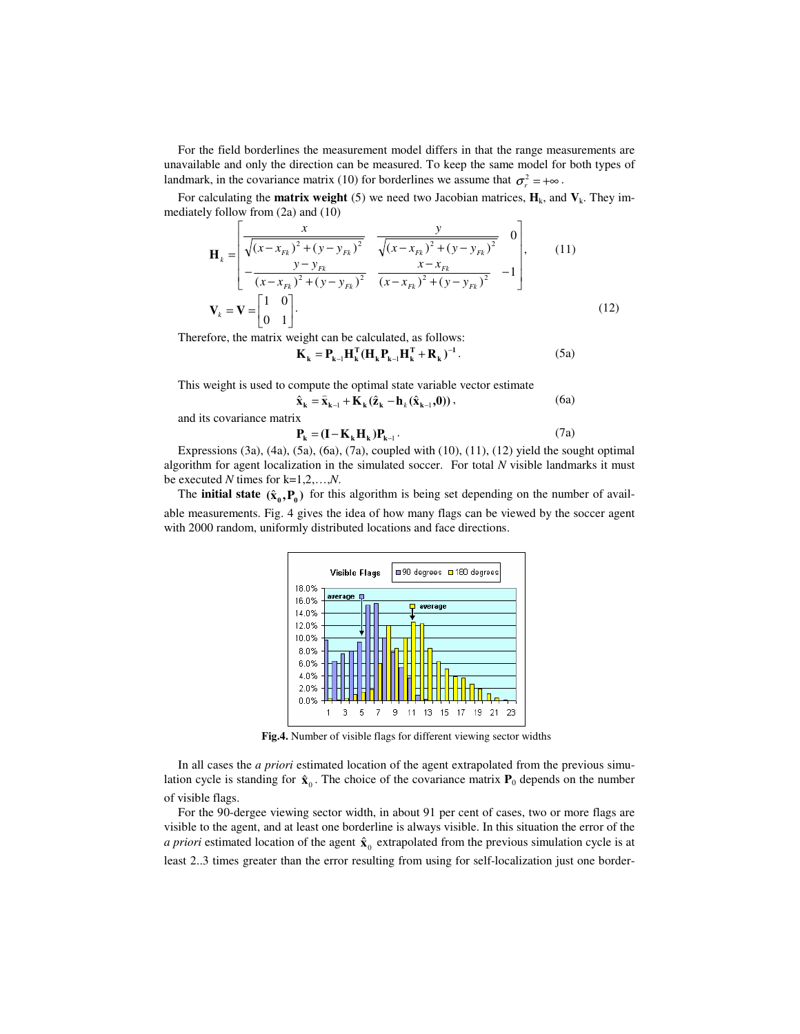For the field borderlines the measurement model differs in that the range measurements are unavailable and only the direction can be measured. To keep the same model for both types of landmark, in the covariance matrix (10) for borderlines we assume that  $\sigma_r^2 = +\infty$ .

For calculating the **matrix weight** (5) we need two Jacobian matrices,  $\mathbf{H}_k$ , and  $\mathbf{V}_k$ . They immediately follow from (2a) and (10)

$$
\mathbf{H}_{k} = \begin{bmatrix} \frac{x}{\sqrt{(x - x_{Fk})^{2} + (y - y_{Fk})^{2}}} & \frac{y}{\sqrt{(x - x_{Fk})^{2} + (y - y_{Fk})^{2}}} & 0\\ -\frac{y - y_{Fk}}{(x - x_{Fk})^{2} + (y - y_{Fk})^{2}} & \frac{x - x_{Fk}}{(x - x_{Fk})^{2} + (y - y_{Fk})^{2}} & -1 \end{bmatrix},
$$
(11)  

$$
\mathbf{V}_{k} = \mathbf{V} = \begin{bmatrix} 1 & 0\\ 0 & 1 \end{bmatrix}.
$$
(12)

Therefore, the matrix weight can be calculated, as follows:

$$
K_{k} = P_{k-l} H_{k}^{T} (H_{k} P_{k-l} H_{k}^{T} + R_{k})^{-1}.
$$
 (5a)

This weight is used to compute the optimal state variable vector estimate

$$
\hat{\mathbf{x}}_{k} = \hat{\mathbf{x}}_{k-1} + \mathbf{K}_{k} (\hat{\mathbf{z}}_{k} - \mathbf{h}_{k} (\hat{\mathbf{x}}_{k-1}, \mathbf{0})),
$$
\n(6a)

and its covariance matrix

$$
\mathbf{P}_{k} = (\mathbf{I} - \mathbf{K}_{k} \mathbf{H}_{k}) \mathbf{P}_{k-1}.
$$
 (7a)

Expressions  $(3a)$ ,  $(4a)$ ,  $(5a)$ ,  $(6a)$ ,  $(7a)$ , coupled with  $(10)$ ,  $(11)$ ,  $(12)$  yield the sought optimal algorithm for agent localization in the simulated soccer. For total *N* visible landmarks it must be executed *N* times for k=1,2,…,*N*.

The **initial state**  $(\hat{\mathbf{x}}_0, \mathbf{P}_0)$  for this algorithm is being set depending on the number of available measurements. Fig. 4 gives the idea of how many flags can be viewed by the soccer agent with 2000 random, uniformly distributed locations and face directions.



**Fig.4.** Number of visible flags for different viewing sector widths

In all cases the *a priori* estimated location of the agent extrapolated from the previous simulation cycle is standing for  $\hat{\mathbf{x}}_0$ . The choice of the covariance matrix  $P_0$  depends on the number of visible flags.

For the 90-dergee viewing sector width, in about 91 per cent of cases, two or more flags are visible to the agent, and at least one borderline is always visible. In this situation the error of the *a priori* estimated location of the agent  $\hat{\mathbf{x}}_0$  extrapolated from the previous simulation cycle is at least 2..3 times greater than the error resulting from using for self-localization just one border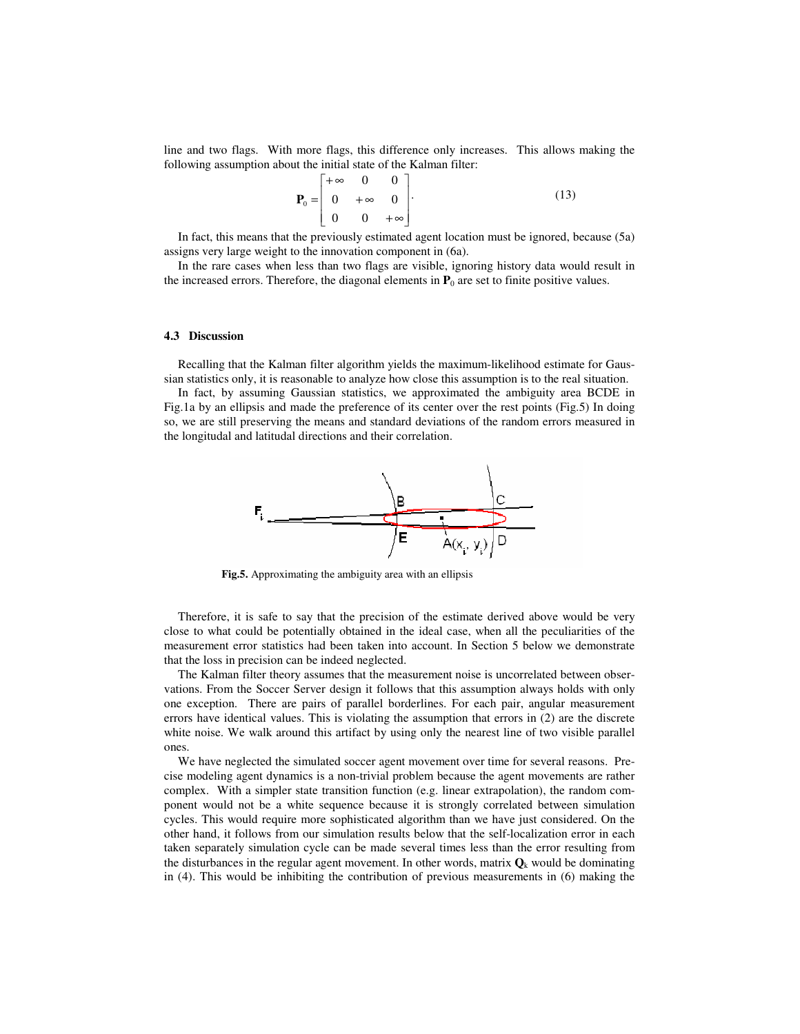line and two flags. With more flags, this difference only increases. This allows making the following assumption about the initial state of the Kalman filter:

$$
\mathbf{P}_0 = \begin{bmatrix} +\infty & 0 & 0 \\ 0 & +\infty & 0 \\ 0 & 0 & +\infty \end{bmatrix} . \tag{13}
$$

In fact, this means that the previously estimated agent location must be ignored, because (5a) assigns very large weight to the innovation component in (6a).

In the rare cases when less than two flags are visible, ignoring history data would result in the increased errors. Therefore, the diagonal elements in  $P_0$  are set to finite positive values.

#### **4.3 Discussion**

Recalling that the Kalman filter algorithm yields the maximum-likelihood estimate for Gaussian statistics only, it is reasonable to analyze how close this assumption is to the real situation.

In fact, by assuming Gaussian statistics, we approximated the ambiguity area BCDE in Fig.1a by an ellipsis and made the preference of its center over the rest points (Fig.5) In doing so, we are still preserving the means and standard deviations of the random errors measured in the longitudal and latitudal directions and their correlation.



**Fig.5.** Approximating the ambiguity area with an ellipsis

Therefore, it is safe to say that the precision of the estimate derived above would be very close to what could be potentially obtained in the ideal case, when all the peculiarities of the measurement error statistics had been taken into account. In Section 5 below we demonstrate that the loss in precision can be indeed neglected.

The Kalman filter theory assumes that the measurement noise is uncorrelated between observations. From the Soccer Server design it follows that this assumption always holds with only one exception. There are pairs of parallel borderlines. For each pair, angular measurement errors have identical values. This is violating the assumption that errors in (2) are the discrete white noise. We walk around this artifact by using only the nearest line of two visible parallel ones.

We have neglected the simulated soccer agent movement over time for several reasons. Precise modeling agent dynamics is a non-trivial problem because the agent movements are rather complex. With a simpler state transition function (e.g. linear extrapolation), the random component would not be a white sequence because it is strongly correlated between simulation cycles. This would require more sophisticated algorithm than we have just considered. On the other hand, it follows from our simulation results below that the self-localization error in each taken separately simulation cycle can be made several times less than the error resulting from the disturbances in the regular agent movement. In other words, matrix  $\mathbf{Q}_k$  would be dominating in (4). This would be inhibiting the contribution of previous measurements in (6) making the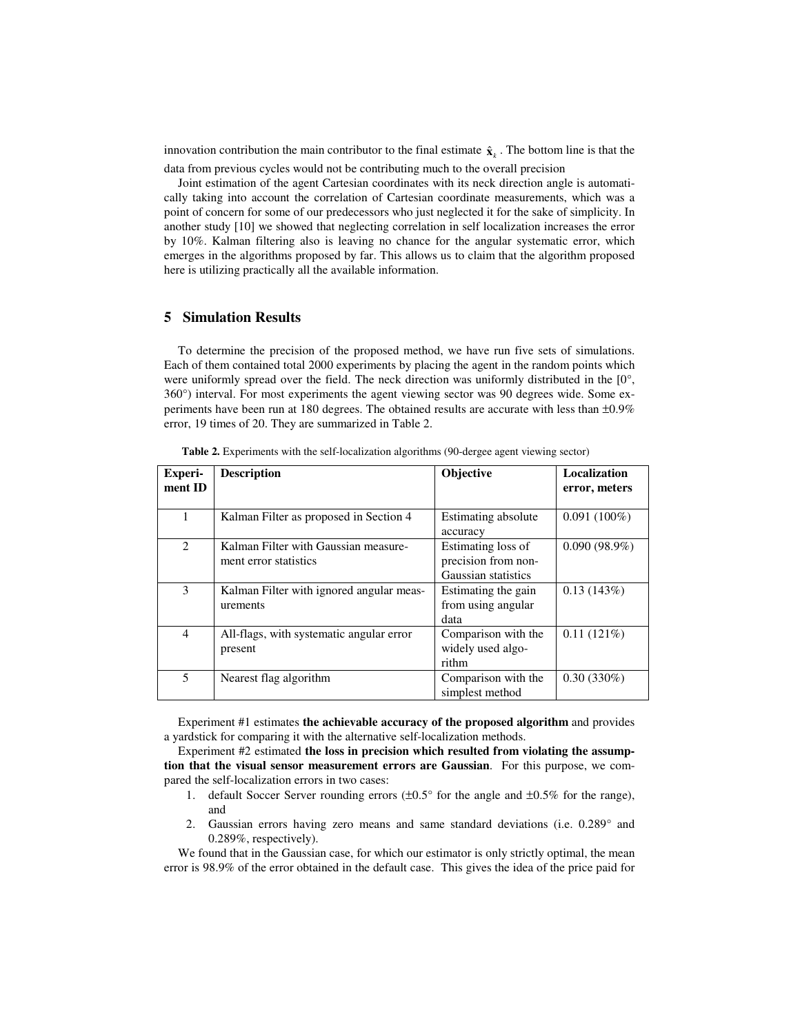innovation contribution the main contributor to the final estimate  $\hat{\mathbf{x}}_k$ . The bottom line is that the data from previous cycles would not be contributing much to the overall precision

Joint estimation of the agent Cartesian coordinates with its neck direction angle is automatically taking into account the correlation of Cartesian coordinate measurements, which was a point of concern for some of our predecessors who just neglected it for the sake of simplicity. In another study [10] we showed that neglecting correlation in self localization increases the error by 10%. Kalman filtering also is leaving no chance for the angular systematic error, which emerges in the algorithms proposed by far. This allows us to claim that the algorithm proposed here is utilizing practically all the available information.

### **5 Simulation Results**

To determine the precision of the proposed method, we have run five sets of simulations. Each of them contained total 2000 experiments by placing the agent in the random points which were uniformly spread over the field. The neck direction was uniformly distributed in the  $[0^\circ,$ 360°) interval. For most experiments the agent viewing sector was 90 degrees wide. Some experiments have been run at 180 degrees. The obtained results are accurate with less than ±0.9% error, 19 times of 20. They are summarized in Table 2.

| Experi-<br>ment ID | <b>Description</b>                                            | Objective                                                        | <b>Localization</b><br>error, meters |
|--------------------|---------------------------------------------------------------|------------------------------------------------------------------|--------------------------------------|
| $\mathbf{1}$       | Kalman Filter as proposed in Section 4                        | Estimating absolute<br>accuracy                                  | $0.091(100\%)$                       |
| 2                  | Kalman Filter with Gaussian measure-<br>ment error statistics | Estimating loss of<br>precision from non-<br>Gaussian statistics | $0.090(98.9\%)$                      |
| 3                  | Kalman Filter with ignored angular meas-<br>urements          | Estimating the gain<br>from using angular<br>data                | 0.13(143%)                           |
| $\overline{4}$     | All-flags, with systematic angular error<br>present           | Comparison with the<br>widely used algo-<br>rithm                | $0.11(121\%)$                        |
| 5                  | Nearest flag algorithm                                        | Comparison with the<br>simplest method                           | $0.30(330\%)$                        |

**Table 2.** Experiments with the self-localization algorithms (90-dergee agent viewing sector)

Experiment #1 estimates **the achievable accuracy of the proposed algorithm** and provides a yardstick for comparing it with the alternative self-localization methods.

Experiment #2 estimated **the loss in precision which resulted from violating the assumption that the visual sensor measurement errors are Gaussian**. For this purpose, we compared the self-localization errors in two cases:

- 1. default Soccer Server rounding errors  $(\pm 0.5^{\circ}$  for the angle and  $\pm 0.5\%$  for the range), and
- 2. Gaussian errors having zero means and same standard deviations (i.e. 0.289° and 0.289%, respectively).

We found that in the Gaussian case, for which our estimator is only strictly optimal, the mean error is 98.9% of the error obtained in the default case. This gives the idea of the price paid for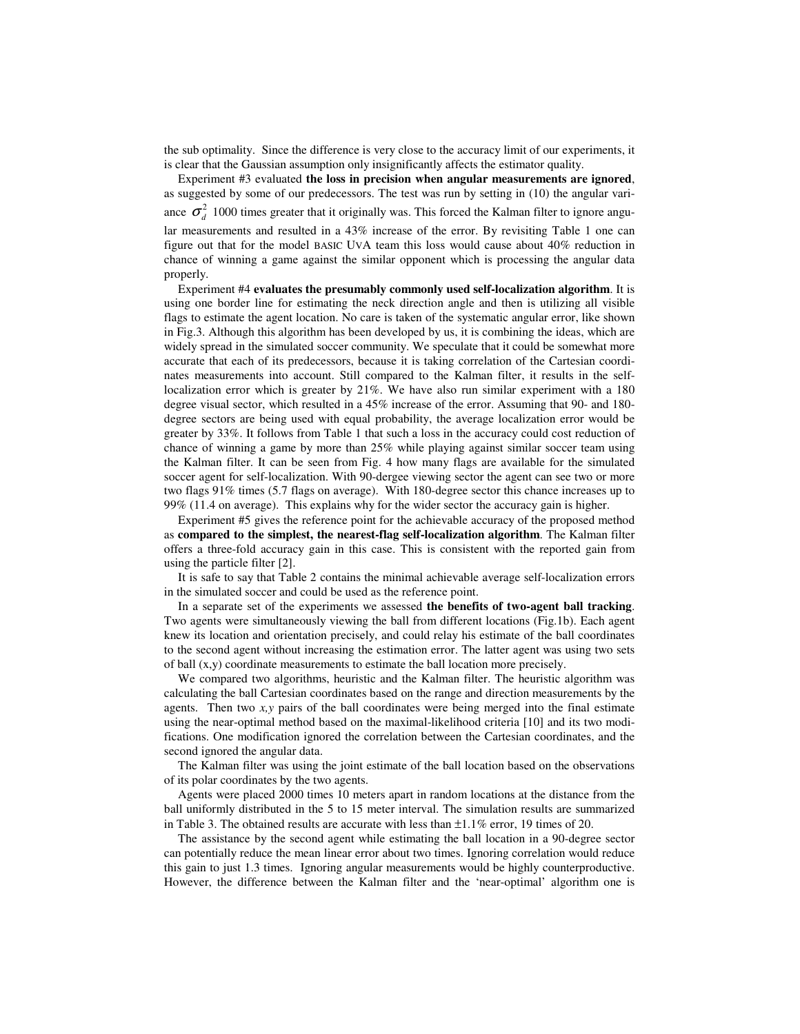the sub optimality. Since the difference is very close to the accuracy limit of our experiments, it is clear that the Gaussian assumption only insignificantly affects the estimator quality.

Experiment #3 evaluated **the loss in precision when angular measurements are ignored**, as suggested by some of our predecessors. The test was run by setting in (10) the angular variance  $\sigma_d^2$  1000 times greater that it originally was. This forced the Kalman filter to ignore angular measurements and resulted in a 43% increase of the error. By revisiting Table 1 one can figure out that for the model BASIC UVA team this loss would cause about 40% reduction in chance of winning a game against the similar opponent which is processing the angular data properly.

Experiment #4 **evaluates the presumably commonly used self-localization algorithm**. It is using one border line for estimating the neck direction angle and then is utilizing all visible flags to estimate the agent location. No care is taken of the systematic angular error, like shown in Fig.3. Although this algorithm has been developed by us, it is combining the ideas, which are widely spread in the simulated soccer community. We speculate that it could be somewhat more accurate that each of its predecessors, because it is taking correlation of the Cartesian coordinates measurements into account. Still compared to the Kalman filter, it results in the selflocalization error which is greater by 21%. We have also run similar experiment with a 180 degree visual sector, which resulted in a 45% increase of the error. Assuming that 90- and 180 degree sectors are being used with equal probability, the average localization error would be greater by 33%. It follows from Table 1 that such a loss in the accuracy could cost reduction of chance of winning a game by more than 25% while playing against similar soccer team using the Kalman filter. It can be seen from Fig. 4 how many flags are available for the simulated soccer agent for self-localization. With 90-dergee viewing sector the agent can see two or more two flags 91% times (5.7 flags on average). With 180-degree sector this chance increases up to 99% (11.4 on average). This explains why for the wider sector the accuracy gain is higher.

Experiment #5 gives the reference point for the achievable accuracy of the proposed method as **compared to the simplest, the nearest-flag self-localization algorithm**. The Kalman filter offers a three-fold accuracy gain in this case. This is consistent with the reported gain from using the particle filter [2].

It is safe to say that Table 2 contains the minimal achievable average self-localization errors in the simulated soccer and could be used as the reference point.

In a separate set of the experiments we assessed **the benefits of two-agent ball tracking**. Two agents were simultaneously viewing the ball from different locations (Fig.1b). Each agent knew its location and orientation precisely, and could relay his estimate of the ball coordinates to the second agent without increasing the estimation error. The latter agent was using two sets of ball  $(x,y)$  coordinate measurements to estimate the ball location more precisely.

We compared two algorithms, heuristic and the Kalman filter. The heuristic algorithm was calculating the ball Cartesian coordinates based on the range and direction measurements by the agents. Then two  $x, y$  pairs of the ball coordinates were being merged into the final estimate using the near-optimal method based on the maximal-likelihood criteria [10] and its two modifications. One modification ignored the correlation between the Cartesian coordinates, and the second ignored the angular data.

The Kalman filter was using the joint estimate of the ball location based on the observations of its polar coordinates by the two agents.

Agents were placed 2000 times 10 meters apart in random locations at the distance from the ball uniformly distributed in the 5 to 15 meter interval. The simulation results are summarized in Table 3. The obtained results are accurate with less than ±1.1% error, 19 times of 20.

The assistance by the second agent while estimating the ball location in a 90-degree sector can potentially reduce the mean linear error about two times. Ignoring correlation would reduce this gain to just 1.3 times. Ignoring angular measurements would be highly counterproductive. However, the difference between the Kalman filter and the 'near-optimal' algorithm one is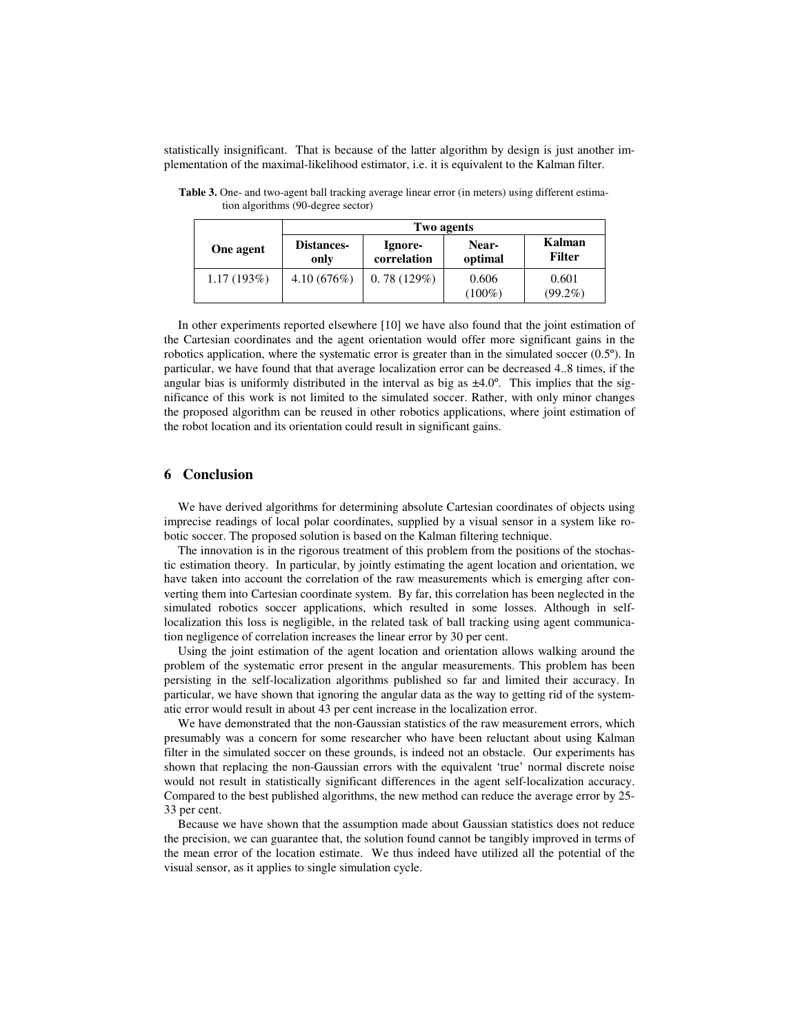statistically insignificant. That is because of the latter algorithm by design is just another implementation of the maximal-likelihood estimator, i.e. it is equivalent to the Kalman filter.

|            | Two agents                |                        |                    |                         |  |  |
|------------|---------------------------|------------------------|--------------------|-------------------------|--|--|
| One agent  | <b>Distances-</b><br>only | Ignore-<br>correlation | Near-<br>optimal   | Kalman<br><b>Filter</b> |  |  |
| 1.17(193%) | 4.10(676%)                | 0.78(129%)             | 0.606<br>$(100\%)$ | 0.601<br>$(99.2\%)$     |  |  |

**Table 3.** One- and two-agent ball tracking average linear error (in meters) using different estimation algorithms (90-degree sector)

In other experiments reported elsewhere [10] we have also found that the joint estimation of the Cartesian coordinates and the agent orientation would offer more significant gains in the robotics application, where the systematic error is greater than in the simulated soccer (0.5<sup>o</sup>). In particular, we have found that that average localization error can be decreased 4..8 times, if the angular bias is uniformly distributed in the interval as big as  $\pm 4.0^\circ$ . This implies that the significance of this work is not limited to the simulated soccer. Rather, with only minor changes the proposed algorithm can be reused in other robotics applications, where joint estimation of the robot location and its orientation could result in significant gains.

## **6 Conclusion**

We have derived algorithms for determining absolute Cartesian coordinates of objects using imprecise readings of local polar coordinates, supplied by a visual sensor in a system like robotic soccer. The proposed solution is based on the Kalman filtering technique.

The innovation is in the rigorous treatment of this problem from the positions of the stochastic estimation theory. In particular, by jointly estimating the agent location and orientation, we have taken into account the correlation of the raw measurements which is emerging after converting them into Cartesian coordinate system. By far, this correlation has been neglected in the simulated robotics soccer applications, which resulted in some losses. Although in selflocalization this loss is negligible, in the related task of ball tracking using agent communication negligence of correlation increases the linear error by 30 per cent.

Using the joint estimation of the agent location and orientation allows walking around the problem of the systematic error present in the angular measurements. This problem has been persisting in the self-localization algorithms published so far and limited their accuracy. In particular, we have shown that ignoring the angular data as the way to getting rid of the systematic error would result in about 43 per cent increase in the localization error.

We have demonstrated that the non-Gaussian statistics of the raw measurement errors, which presumably was a concern for some researcher who have been reluctant about using Kalman filter in the simulated soccer on these grounds, is indeed not an obstacle. Our experiments has shown that replacing the non-Gaussian errors with the equivalent 'true' normal discrete noise would not result in statistically significant differences in the agent self-localization accuracy. Compared to the best published algorithms, the new method can reduce the average error by 25- 33 per cent.

Because we have shown that the assumption made about Gaussian statistics does not reduce the precision, we can guarantee that, the solution found cannot be tangibly improved in terms of the mean error of the location estimate. We thus indeed have utilized all the potential of the visual sensor, as it applies to single simulation cycle.